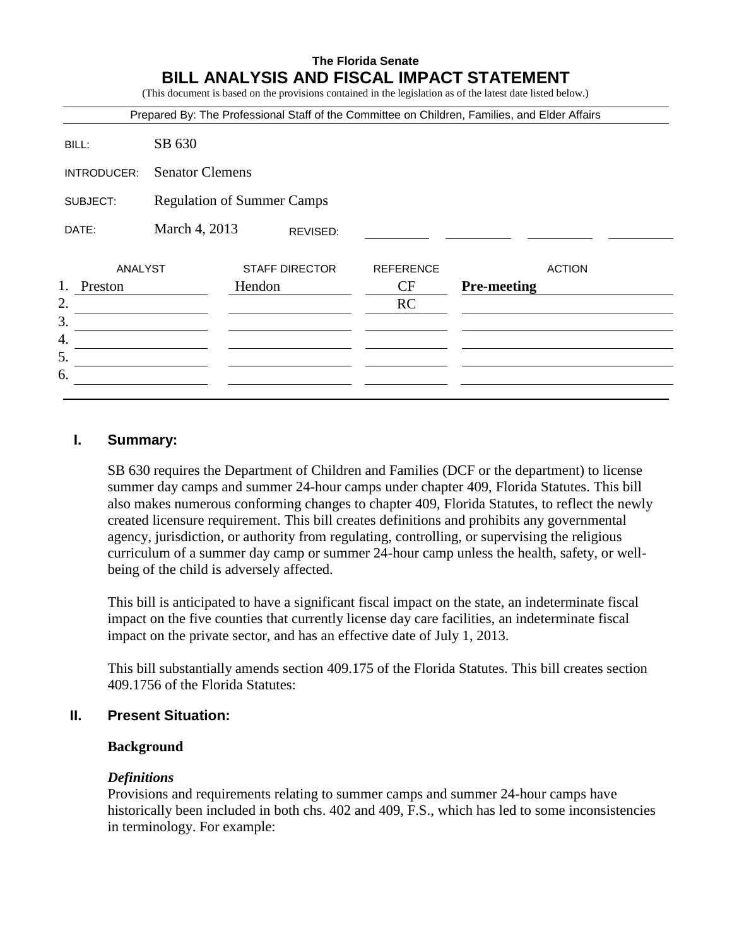# **The Florida Senate BILL ANALYSIS AND FISCAL IMPACT STATEMENT**

(This document is based on the provisions contained in the legislation as of the latest date listed below.)

|               |                                   |                       |                  | Prepared By: The Professional Staff of the Committee on Children, Families, and Elder Affairs |  |  |
|---------------|-----------------------------------|-----------------------|------------------|-----------------------------------------------------------------------------------------------|--|--|
| BILL:         | SB 630                            |                       |                  |                                                                                               |  |  |
| INTRODUCER:   | <b>Senator Clemens</b>            |                       |                  |                                                                                               |  |  |
| SUBJECT:      | <b>Regulation of Summer Camps</b> |                       |                  |                                                                                               |  |  |
| DATE:         | March 4, 2013                     | REVISED:              |                  |                                                                                               |  |  |
| ANALYST       |                                   | <b>STAFF DIRECTOR</b> | <b>REFERENCE</b> | <b>ACTION</b>                                                                                 |  |  |
| 1.<br>Preston |                                   | Hendon                | CF               | <b>Pre-meeting</b>                                                                            |  |  |
|               |                                   |                       | RC               |                                                                                               |  |  |
|               |                                   |                       |                  |                                                                                               |  |  |
|               |                                   |                       |                  |                                                                                               |  |  |
|               |                                   |                       |                  |                                                                                               |  |  |
|               |                                   |                       |                  |                                                                                               |  |  |

## **I. Summary:**

SB 630 requires the Department of Children and Families (DCF or the department) to license summer day camps and summer 24-hour camps under chapter 409, Florida Statutes. This bill also makes numerous conforming changes to chapter 409, Florida Statutes, to reflect the newly created licensure requirement. This bill creates definitions and prohibits any governmental agency, jurisdiction, or authority from regulating, controlling, or supervising the religious curriculum of a summer day camp or summer 24-hour camp unless the health, safety, or wellbeing of the child is adversely affected.

This bill is anticipated to have a significant fiscal impact on the state, an indeterminate fiscal impact on the five counties that currently license day care facilities, an indeterminate fiscal impact on the private sector, and has an effective date of July 1, 2013.

This bill substantially amends section 409.175 of the Florida Statutes. This bill creates section 409.1756 of the Florida Statutes:

### **II. Present Situation:**

#### **Background**

#### *Definitions*

Provisions and requirements relating to summer camps and summer 24-hour camps have historically been included in both chs. 402 and 409, F.S., which has led to some inconsistencies in terminology. For example: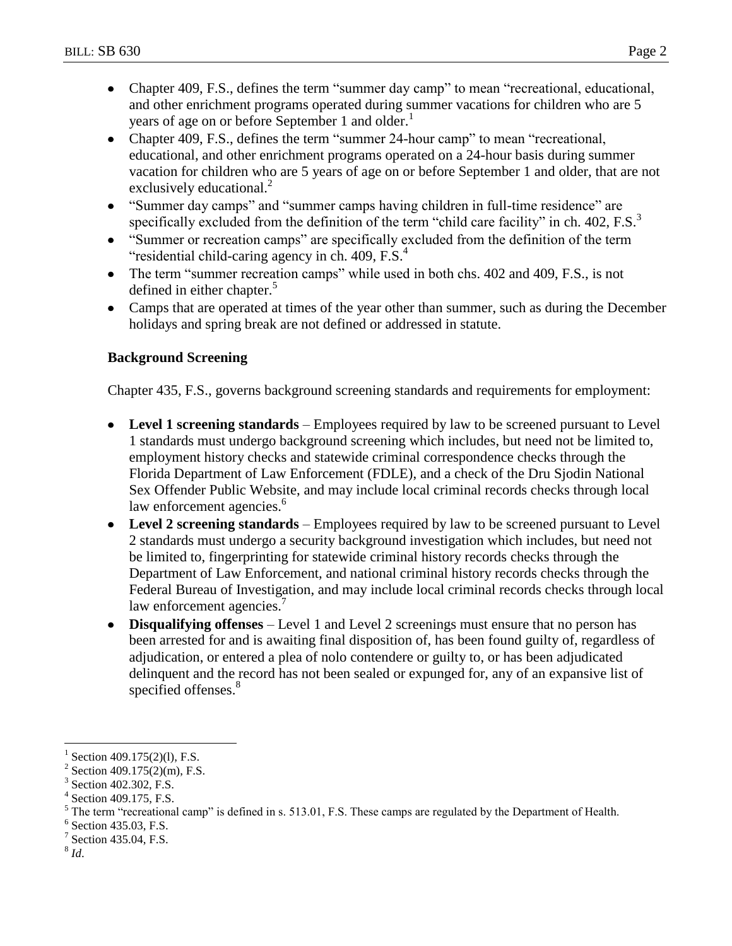- Chapter 409, F.S., defines the term "summer day camp" to mean "recreational, educational,  $\bullet$ and other enrichment programs operated during summer vacations for children who are 5 years of age on or before September 1 and older.<sup>1</sup>
- Chapter 409, F.S., defines the term "summer 24-hour camp" to mean "recreational, educational, and other enrichment programs operated on a 24-hour basis during summer vacation for children who are 5 years of age on or before September 1 and older, that are not exclusively educational.<sup>2</sup>
- "Summer day camps" and "summer camps having children in full-time residence" are specifically excluded from the definition of the term "child care facility" in ch.  $402$ , F.S. $3$
- "Summer or recreation camps" are specifically excluded from the definition of the term "residential child-caring agency in ch.  $409$ , F.S. $<sup>4</sup>$ </sup>
- The term "summer recreation camps" while used in both chs. 402 and 409, F.S., is not defined in either chapter.<sup>5</sup>
- Camps that are operated at times of the year other than summer, such as during the December holidays and spring break are not defined or addressed in statute.

# **Background Screening**

Chapter 435, F.S., governs background screening standards and requirements for employment:

- **Level 1 screening standards** Employees required by law to be screened pursuant to Level 1 standards must undergo background screening which includes, but need not be limited to, employment history checks and statewide criminal correspondence checks through the Florida Department of Law Enforcement (FDLE), and a check of the Dru Sjodin National Sex Offender Public Website, and may include local criminal records checks through local law enforcement agencies.<sup>6</sup>
- **Level 2 screening standards**  Employees required by law to be screened pursuant to Level 2 standards must undergo a security background investigation which includes, but need not be limited to, fingerprinting for statewide criminal history records checks through the Department of Law Enforcement, and national criminal history records checks through the Federal Bureau of Investigation, and may include local criminal records checks through local law enforcement agencies.<sup>7</sup>
- **Disqualifying offenses** Level 1 and Level 2 screenings must ensure that no person has been arrested for and is awaiting final disposition of, has been found guilty of, regardless of adjudication, or entered a plea of nolo contendere or guilty to, or has been adjudicated delinquent and the record has not been sealed or expunged for, any of an expansive list of specified offenses.<sup>8</sup>

8 *Id*.

 $\overline{a}$ 

<sup>1</sup> Section 409.175(2)(1), F.S.

<sup>2</sup> Section 409.175(2)(m), F.S.

<sup>3</sup> Section 402.302, F.S.

<sup>4</sup> Section 409.175, F.S.

<sup>5</sup> The term "recreational camp" is defined in s. 513.01, F.S. These camps are regulated by the Department of Health.

<sup>6</sup> Section 435.03, F.S.

<sup>7</sup> Section 435.04, F.S.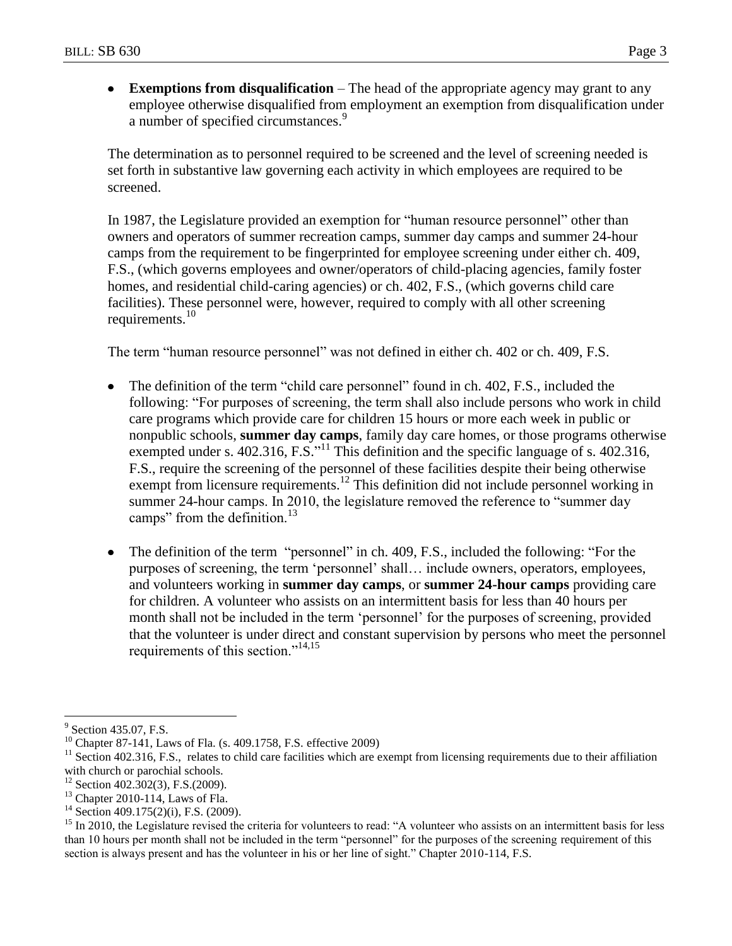**Exemptions from disqualification** – The head of the appropriate agency may grant to any  $\bullet$ employee otherwise disqualified from employment an exemption from disqualification under a number of specified circumstances.<sup>9</sup>

The determination as to personnel required to be screened and the level of screening needed is set forth in substantive law governing each activity in which employees are required to be screened.

In 1987, the Legislature provided an exemption for "human resource personnel" other than owners and operators of summer recreation camps, summer day camps and summer 24-hour camps from the requirement to be fingerprinted for employee screening under either ch. 409, F.S., (which governs employees and owner/operators of child-placing agencies, family foster homes, and residential child-caring agencies) or ch. 402, F.S., (which governs child care facilities). These personnel were, however, required to comply with all other screening requirements.<sup>10</sup>

The term "human resource personnel" was not defined in either ch. 402 or ch. 409, F.S.

- The definition of the term "child care personnel" found in ch. 402, F.S., included the following: "For purposes of screening, the term shall also include persons who work in child care programs which provide care for children 15 hours or more each week in public or nonpublic schools, **summer day camps**, family day care homes, or those programs otherwise exempted under s. 402.316, F.S.<sup>311</sup> This definition and the specific language of s. 402.316, F.S., require the screening of the personnel of these facilities despite their being otherwise exempt from licensure requirements.<sup>12</sup> This definition did not include personnel working in summer 24-hour camps. In 2010, the legislature removed the reference to "summer day camps" from the definition. $13$
- The definition of the term "personnel" in ch. 409, F.S., included the following: "For the purposes of screening, the term "personnel" shall… include owners, operators, employees, and volunteers working in **summer day camps**, or **summer 24-hour camps** providing care for children. A volunteer who assists on an intermittent basis for less than 40 hours per month shall not be included in the term "personnel" for the purposes of screening, provided that the volunteer is under direct and constant supervision by persons who meet the personnel requirements of this section."<sup>14,15</sup>

 $\overline{a}$ <sup>9</sup> Section 435.07, F.S.

<sup>&</sup>lt;sup>10</sup> Chapter 87-141, Laws of Fla. (s. 409.1758, F.S. effective 2009)

 $11$  Section 402.316, F.S., relates to child care facilities which are exempt from licensing requirements due to their affiliation with church or parochial schools.

 $12$  Section 402.302(3), F.S.(2009).

<sup>&</sup>lt;sup>13</sup> Chapter 2010-114, Laws of Fla.

 $14$  Section 409.175(2)(i), F.S. (2009).

<sup>&</sup>lt;sup>15</sup> In 2010, the Legislature revised the criteria for volunteers to read: "A volunteer who assists on an intermittent basis for less than 10 hours per month shall not be included in the term "personnel" for the purposes of the screening requirement of this section is always present and has the volunteer in his or her line of sight." Chapter 2010-114, F.S.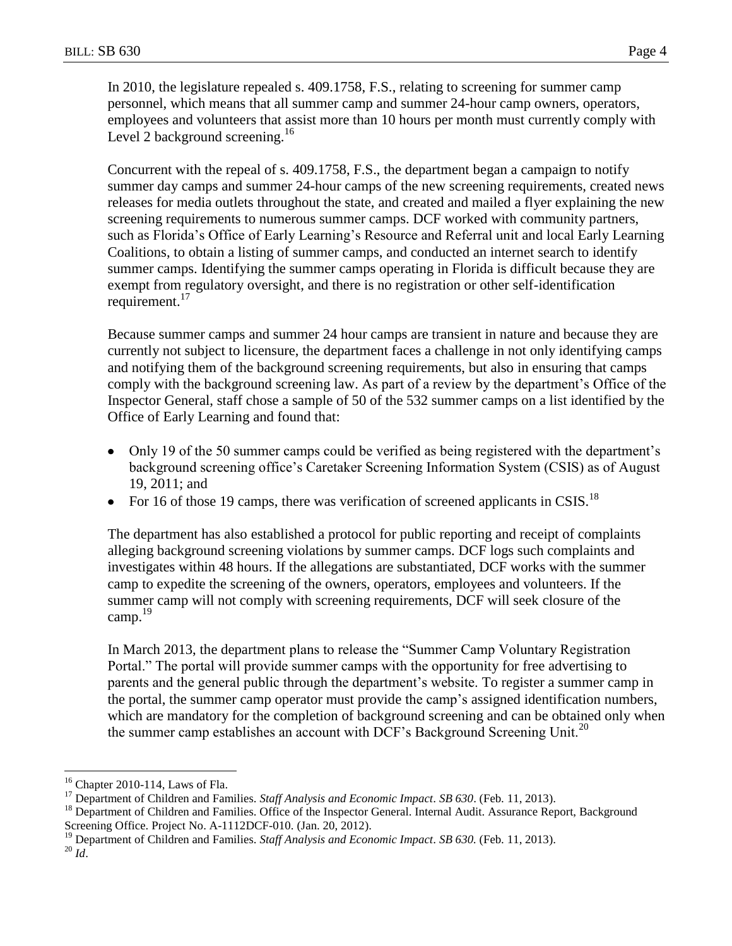In 2010, the legislature repealed s. 409.1758, F.S., relating to screening for summer camp personnel, which means that all summer camp and summer 24-hour camp owners, operators, employees and volunteers that assist more than 10 hours per month must currently comply with Level 2 background screening. $16$ 

Concurrent with the repeal of s. 409.1758, F.S., the department began a campaign to notify summer day camps and summer 24-hour camps of the new screening requirements, created news releases for media outlets throughout the state, and created and mailed a flyer explaining the new screening requirements to numerous summer camps. DCF worked with community partners, such as Florida's Office of Early Learning's Resource and Referral unit and local Early Learning Coalitions, to obtain a listing of summer camps, and conducted an internet search to identify summer camps. Identifying the summer camps operating in Florida is difficult because they are exempt from regulatory oversight, and there is no registration or other self-identification requirement.<sup>17</sup>

Because summer camps and summer 24 hour camps are transient in nature and because they are currently not subject to licensure, the department faces a challenge in not only identifying camps and notifying them of the background screening requirements, but also in ensuring that camps comply with the background screening law. As part of a review by the department"s Office of the Inspector General, staff chose a sample of 50 of the 532 summer camps on a list identified by the Office of Early Learning and found that:

- $\bullet$ Only 19 of the 50 summer camps could be verified as being registered with the department"s background screening office"s Caretaker Screening Information System (CSIS) as of August 19, 2011; and
- For 16 of those 19 camps, there was verification of screened applicants in CSIS.<sup>18</sup>

The department has also established a protocol for public reporting and receipt of complaints alleging background screening violations by summer camps. DCF logs such complaints and investigates within 48 hours. If the allegations are substantiated, DCF works with the summer camp to expedite the screening of the owners, operators, employees and volunteers. If the summer camp will not comply with screening requirements, DCF will seek closure of the camp. $^{19}$ 

In March 2013, the department plans to release the "Summer Camp Voluntary Registration Portal." The portal will provide summer camps with the opportunity for free advertising to parents and the general public through the department's website. To register a summer camp in the portal, the summer camp operator must provide the camp"s assigned identification numbers, which are mandatory for the completion of background screening and can be obtained only when the summer camp establishes an account with DCF's Background Screening Unit.<sup>20</sup>

 $\overline{a}$ 

<sup>16</sup> Chapter 2010-114, Laws of Fla.

<sup>&</sup>lt;sup>17</sup> Department of Children and Families. *Staff Analysis and Economic Impact*. *SB* 630. (Feb. 11, 2013).

<sup>&</sup>lt;sup>18</sup> Department of Children and Families. Office of the Inspector General. Internal Audit. Assurance Report, Background Screening Office. Project No. A-1112DCF-010. (Jan. 20, 2012).

<sup>&</sup>lt;sup>19</sup> Department of Children and Families. *Staff Analysis and Economic Impact. SB 630*. (Feb. 11, 2013).

 $\real^{20}$   $Id.$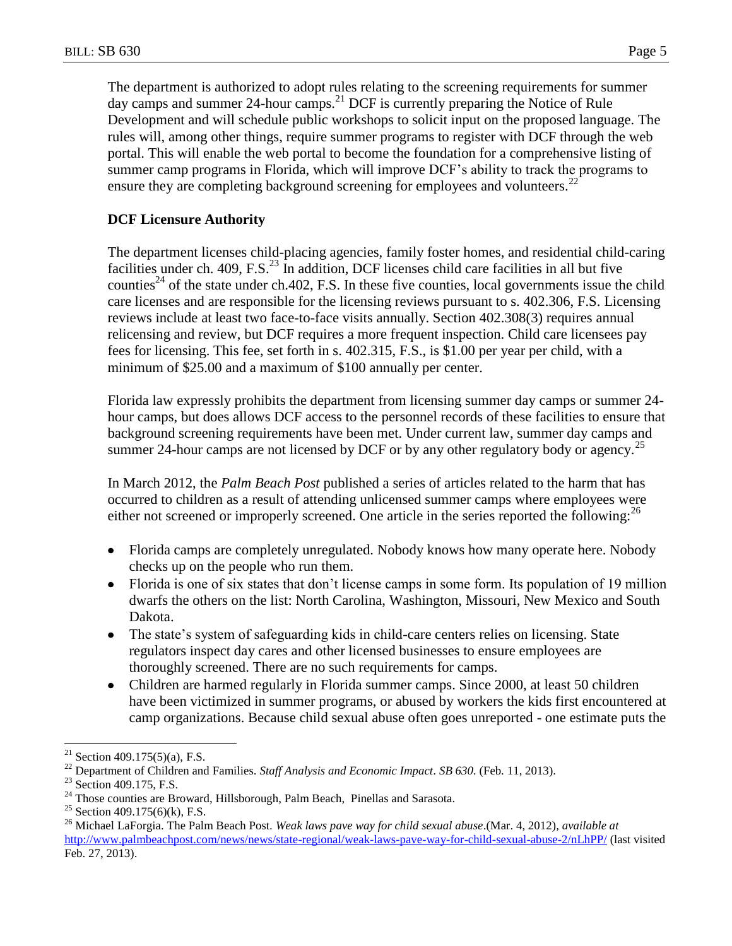The department is authorized to adopt rules relating to the screening requirements for summer day camps and summer 24-hour camps.<sup>21</sup> DCF is currently preparing the Notice of Rule Development and will schedule public workshops to solicit input on the proposed language. The rules will, among other things, require summer programs to register with DCF through the web portal. This will enable the web portal to become the foundation for a comprehensive listing of summer camp programs in Florida, which will improve DCF's ability to track the programs to ensure they are completing background screening for employees and volunteers.<sup>22</sup>

## **DCF Licensure Authority**

The department licenses child-placing agencies, family foster homes, and residential child-caring facilities under ch.  $409$ , F.S.<sup>23</sup> In addition, DCF licenses child care facilities in all but five counties<sup>24</sup> of the state under ch.402, F.S. In these five counties, local governments issue the child care licenses and are responsible for the licensing reviews pursuant to s. 402.306, F.S. Licensing reviews include at least two face-to-face visits annually. Section 402.308(3) requires annual relicensing and review, but DCF requires a more frequent inspection. Child care licensees pay fees for licensing. This fee, set forth in s. 402.315, F.S., is \$1.00 per year per child, with a minimum of \$25.00 and a maximum of \$100 annually per center.

Florida law expressly prohibits the department from licensing summer day camps or summer 24 hour camps, but does allows DCF access to the personnel records of these facilities to ensure that background screening requirements have been met. Under current law, summer day camps and summer 24-hour camps are not licensed by DCF or by any other regulatory body or agency.<sup>25</sup>

In March 2012, the *Palm Beach Post* published a series of articles related to the harm that has occurred to children as a result of attending unlicensed summer camps where employees were either not screened or improperly screened. One article in the series reported the following:<sup>26</sup>

- Florida camps are completely unregulated. Nobody knows how many operate here. Nobody checks up on the people who run them.
- Florida is one of six states that don't license camps in some form. Its population of 19 million dwarfs the others on the list: North Carolina, Washington, Missouri, New Mexico and South Dakota.
- The state's system of safeguarding kids in child-care centers relies on licensing. State regulators inspect day cares and other licensed businesses to ensure employees are thoroughly screened. There are no such requirements for camps.
- Children are harmed regularly in Florida summer camps. Since 2000, at least 50 children have been victimized in summer programs, or abused by workers the kids first encountered at camp organizations. Because child sexual abuse often goes unreported - one estimate puts the

 $\overline{a}$ 

<sup>&</sup>lt;sup>21</sup> Section 409.175(5)(a), F.S.

<sup>22</sup> Department of Children and Families. *Staff Analysis and Economic Impact*. *SB 630.* (Feb. 11, 2013).

<sup>&</sup>lt;sup>23</sup> Section 409.175, F.S.

<sup>&</sup>lt;sup>24</sup> Those counties are Broward, Hillsborough, Palm Beach, Pinellas and Sarasota.

<sup>&</sup>lt;sup>25</sup> Section 409.175(6)(k), F.S.

<sup>26</sup> Michael LaForgia. The Palm Beach Post. *Weak laws pave way for child sexual abuse*.(Mar. 4, 2012), *available at*  <http://www.palmbeachpost.com/news/news/state-regional/weak-laws-pave-way-for-child-sexual-abuse-2/nLhPP/> (last visited Feb. 27, 2013).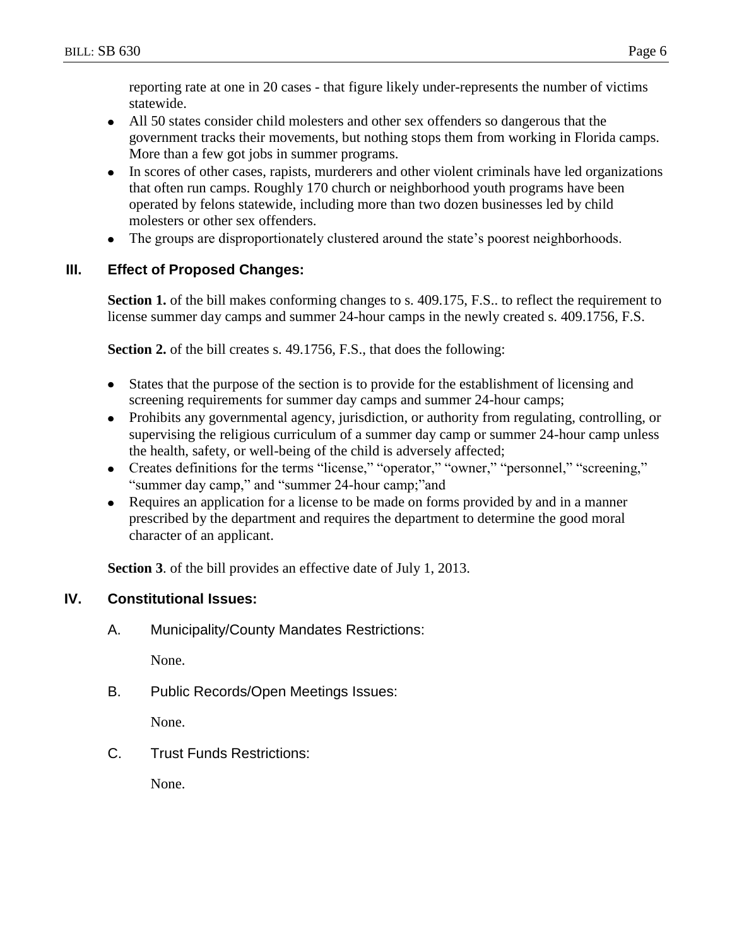reporting rate at one in 20 cases - that figure likely under-represents the number of victims statewide.

- All 50 states consider child molesters and other sex offenders so dangerous that the government tracks their movements, but nothing stops them from working in Florida camps. More than a few got jobs in summer programs.
- In scores of other cases, rapists, murderers and other violent criminals have led organizations that often run camps. Roughly 170 church or neighborhood youth programs have been operated by felons statewide, including more than two dozen businesses led by child molesters or other sex offenders.
- The groups are disproportionately clustered around the state"s poorest neighborhoods.

## **III. Effect of Proposed Changes:**

**Section 1.** of the bill makes conforming changes to s. 409.175, F.S.. to reflect the requirement to license summer day camps and summer 24-hour camps in the newly created s. 409.1756, F.S.

**Section 2.** of the bill creates s. 49.1756, F.S., that does the following:

- States that the purpose of the section is to provide for the establishment of licensing and screening requirements for summer day camps and summer 24-hour camps;
- Prohibits any governmental agency, jurisdiction, or authority from regulating, controlling, or supervising the religious curriculum of a summer day camp or summer 24-hour camp unless the health, safety, or well-being of the child is adversely affected;
- Creates definitions for the terms "license," "operator," "owner," "personnel," "screening," "summer day camp," and "summer 24-hour camp;"and
- Requires an application for a license to be made on forms provided by and in a manner  $\bullet$ prescribed by the department and requires the department to determine the good moral character of an applicant.

**Section 3**. of the bill provides an effective date of July 1, 2013.

# **IV. Constitutional Issues:**

A. Municipality/County Mandates Restrictions:

None.

B. Public Records/Open Meetings Issues:

None.

C. Trust Funds Restrictions:

None.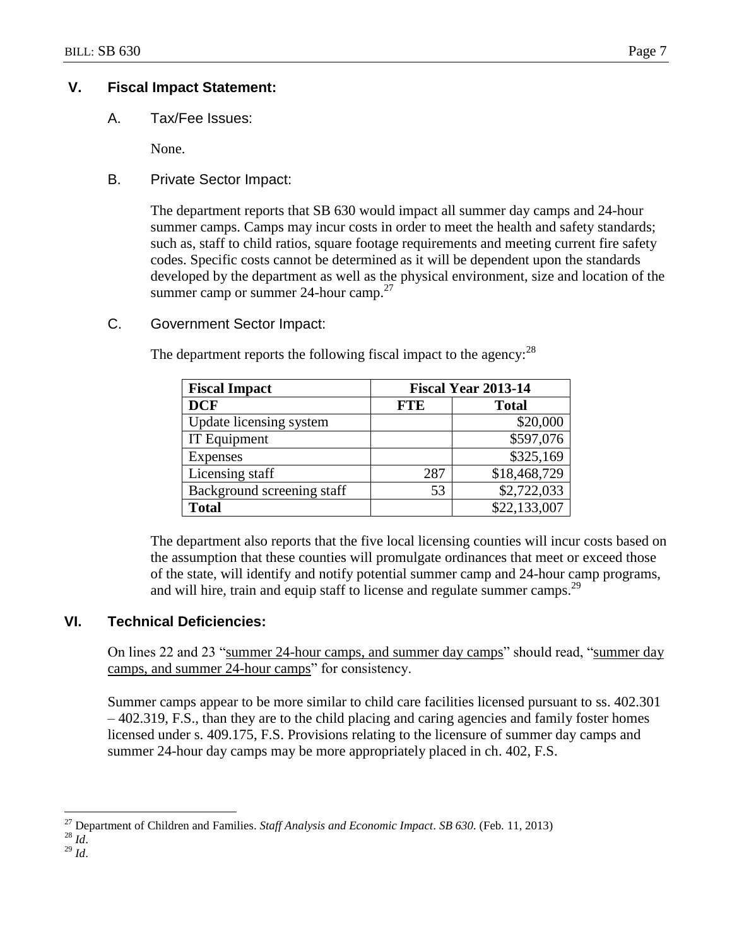## **V. Fiscal Impact Statement:**

A. Tax/Fee Issues:

None.

B. Private Sector Impact:

The department reports that SB 630 would impact all summer day camps and 24-hour summer camps. Camps may incur costs in order to meet the health and safety standards; such as, staff to child ratios, square footage requirements and meeting current fire safety codes. Specific costs cannot be determined as it will be dependent upon the standards developed by the department as well as the physical environment, size and location of the summer camp or summer 24-hour camp. $27$ 

C. Government Sector Impact:

| <b>Fiscal Impact</b>       | <b>Fiscal Year 2013-14</b> |              |  |
|----------------------------|----------------------------|--------------|--|
| <b>DCF</b>                 | <b>FTE</b>                 | <b>Total</b> |  |
| Update licensing system    |                            | \$20,000     |  |
| IT Equipment               |                            | \$597,076    |  |
| <b>Expenses</b>            |                            | \$325,169    |  |
| Licensing staff            | 287                        | \$18,468,729 |  |
| Background screening staff | 53                         | \$2,722,033  |  |
| <b>Total</b>               |                            | \$22,133,007 |  |

The department reports the following fiscal impact to the agency:  $28$ 

The department also reports that the five local licensing counties will incur costs based on the assumption that these counties will promulgate ordinances that meet or exceed those of the state, will identify and notify potential summer camp and 24-hour camp programs, and will hire, train and equip staff to license and regulate summer camps.<sup>29</sup>

# **VI. Technical Deficiencies:**

On lines 22 and 23 "summer 24-hour camps, and summer day camps" should read, "summer day camps, and summer 24-hour camps" for consistency.

Summer camps appear to be more similar to child care facilities licensed pursuant to ss. 402.301 – 402.319, F.S., than they are to the child placing and caring agencies and family foster homes licensed under s. 409.175, F.S. Provisions relating to the licensure of summer day camps and summer 24-hour day camps may be more appropriately placed in ch. 402, F.S.

 $\overline{a}$ <sup>27</sup> Department of Children and Families. *Staff Analysis and Economic Impact*. *SB 630.* (Feb. 11, 2013)

<sup>28</sup> *Id*.

<sup>29</sup> *Id*.